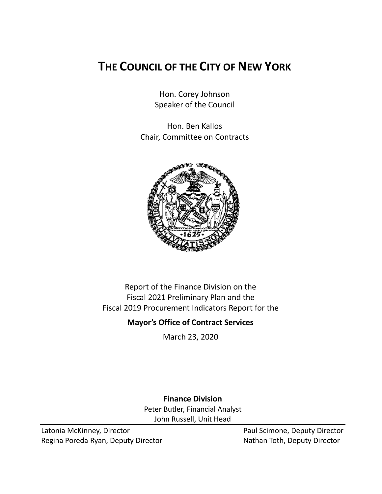# **THE COUNCIL OF THE CITY OF NEW YORK**

Hon. Corey Johnson Speaker of the Council

Hon. Ben Kallos Chair, Committee on Contracts



Report of the Finance Division on the Fiscal 2021 Preliminary Plan and the Fiscal 2019 Procurement Indicators Report for the

## **Mayor's Office of Contract Services**

March 23, 2020

**Finance Division** Peter Butler, Financial Analyst John Russell, Unit Head

Latonia McKinney, Director **Paul Scimone, Deputy Director** Paul Scimone, Deputy Director Regina Poreda Ryan, Deputy Director Nathan Toth, Deputy Director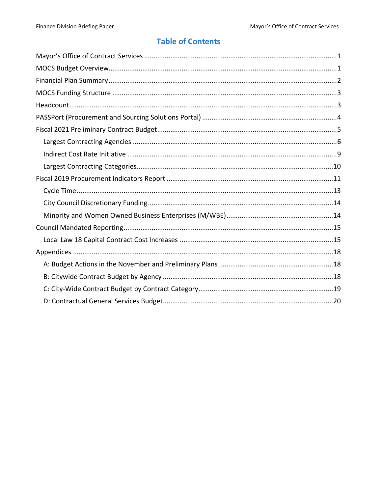# **Table of Contents**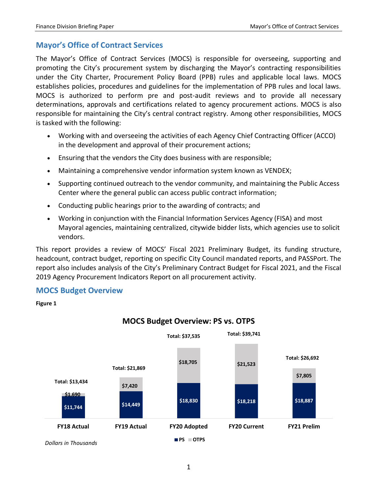## <span id="page-2-0"></span>**Mayor's Office of Contract Services**

The Mayor's Office of Contract Services (MOCS) is responsible for overseeing, supporting and promoting the City's procurement system by discharging the Mayor's contracting responsibilities under the City Charter, Procurement Policy Board (PPB) rules and applicable local laws. MOCS establishes policies, procedures and guidelines for the implementation of PPB rules and local laws. MOCS is authorized to perform pre and post-audit reviews and to provide all necessary determinations, approvals and certifications related to agency procurement actions. MOCS is also responsible for maintaining the City's central contract registry. Among other responsibilities, MOCS is tasked with the following:

- Working with and overseeing the activities of each Agency Chief Contracting Officer (ACCO) in the development and approval of their procurement actions;
- Ensuring that the vendors the City does business with are responsible;
- Maintaining a comprehensive vendor information system known as VENDEX;
- Supporting continued outreach to the vendor community, and maintaining the Public Access Center where the general public can access public contract information;
- Conducting public hearings prior to the awarding of contracts; and
- Working in conjunction with the Financial Information Services Agency (FISA) and most Mayoral agencies, maintaining centralized, citywide bidder lists, which agencies use to solicit vendors.

This report provides a review of MOCS' Fiscal 2021 Preliminary Budget, its funding structure, headcount, contract budget, reporting on specific City Council mandated reports, and PASSPort. The report also includes analysis of the City's Preliminary Contract Budget for Fiscal 2021, and the Fiscal 2019 Agency Procurement Indicators Report on all procurement activity.

## <span id="page-2-1"></span>**MOCS Budget Overview**

#### **Figure 1**



## **MOCS Budget Overview: PS vs. OTPS**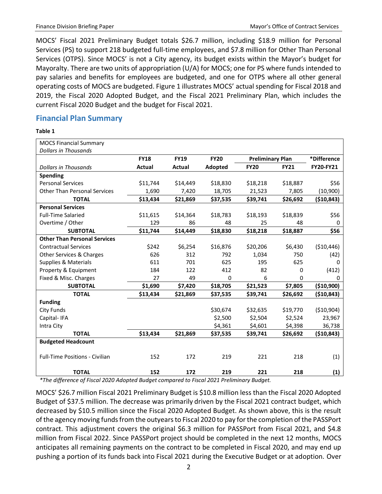MOCS' Fiscal 2021 Preliminary Budget totals \$26.7 million, including \$18.9 million for Personal Services (PS) to support 218 budgeted full-time employees, and \$7.8 million for Other Than Personal Services (OTPS). Since MOCS' is not a City agency, its budget exists within the Mayor's budget for Mayoralty. There are two units of appropriation (U/A) for MOCS; one for PS where funds intended to pay salaries and benefits for employees are budgeted, and one for OTPS where all other general operating costs of MOCS are budgeted. Figure 1 illustrates MOCS' actual spending for Fiscal 2018 and 2019, the Fiscal 2020 Adopted Budget, and the Fiscal 2021 Preliminary Plan, which includes the current Fiscal 2020 Budget and the budget for Fiscal 2021.

## <span id="page-3-0"></span>**Financial Plan Summary**

#### **Table 1**

| <b>MOCS Financial Summary</b>         |             |             |             |                         |             |                  |
|---------------------------------------|-------------|-------------|-------------|-------------------------|-------------|------------------|
| <b>Dollars in Thousands</b>           |             |             |             |                         |             |                  |
|                                       | <b>FY18</b> | <b>FY19</b> | <b>FY20</b> | <b>Preliminary Plan</b> |             | *Difference      |
| <b>Dollars in Thousands</b>           | Actual      | Actual      | Adopted     | <b>FY20</b>             | <b>FY21</b> | <b>FY20-FY21</b> |
| <b>Spending</b>                       |             |             |             |                         |             |                  |
| <b>Personal Services</b>              | \$11,744    | \$14,449    | \$18,830    | \$18,218                | \$18,887    | \$56             |
| <b>Other Than Personal Services</b>   | 1,690       | 7,420       | 18,705      | 21,523                  | 7,805       | (10, 900)        |
| <b>TOTAL</b>                          | \$13,434    | \$21,869    | \$37,535    | \$39,741                | \$26,692    | (\$10,843)       |
| <b>Personal Services</b>              |             |             |             |                         |             |                  |
| <b>Full-Time Salaried</b>             | \$11,615    | \$14,364    | \$18,783    | \$18,193                | \$18,839    | \$56             |
| Overtime / Other                      | 129         | 86          | 48          | 25                      | 48          | 0                |
| <b>SUBTOTAL</b>                       | \$11,744    | \$14,449    | \$18,830    | \$18,218                | \$18,887    | \$56             |
| <b>Other Than Personal Services</b>   |             |             |             |                         |             |                  |
| <b>Contractual Services</b>           | \$242       | \$6,254     | \$16,876    | \$20,206                | \$6,430     | (\$10,446)       |
| Other Services & Charges              | 626         | 312         | 792         | 1,034                   | 750         | (42)             |
| <b>Supplies &amp; Materials</b>       | 611         | 701         | 625         | 195                     | 625         | 0                |
| Property & Equipment                  | 184         | 122         | 412         | 82                      | 0           | (412)            |
| Fixed & Misc. Charges                 | 27          | 49          | $\mathbf 0$ | 6                       | 0           | 0                |
| <b>SUBTOTAL</b>                       | \$1,690     | \$7,420     | \$18,705    | \$21,523                | \$7,805     | (\$10,900)       |
| <b>TOTAL</b>                          | \$13,434    | \$21,869    | \$37,535    | \$39,741                | \$26,692    | (\$10,843)       |
| <b>Funding</b>                        |             |             |             |                         |             |                  |
| <b>City Funds</b>                     |             |             | \$30,674    | \$32,635                | \$19,770    | (\$10,904)       |
| Capital-IFA                           |             |             | \$2,500     | \$2,504                 | \$2,524     | 23,967           |
| Intra City                            |             |             | \$4,361     | \$4,601                 | \$4,398     | 36,738           |
| <b>TOTAL</b>                          | \$13,434    | \$21,869    | \$37,535    | \$39,741                | \$26,692    | (\$10,843)       |
| <b>Budgeted Headcount</b>             |             |             |             |                         |             |                  |
| <b>Full-Time Positions - Civilian</b> | 152         | 172         | 219         | 221                     | 218         | (1)              |
| <b>TOTAL</b>                          | 152         | 172         | 219         | 221                     | 218         | (1)              |

*\*The difference of Fiscal 2020 Adopted Budget compared to Fiscal 2021 Preliminary Budget.*

MOCS' \$26.7 million Fiscal 2021 Preliminary Budget is \$10.8 million less than the Fiscal 2020 Adopted Budget of \$37.5 million. The decrease was primarily driven by the Fiscal 2021 contract budget, which decreased by \$10.5 million since the Fiscal 2020 Adopted Budget. As shown above, this is the result of the agency moving funds from the outyears to Fiscal 2020 to pay for the completion of the PASSPort contract. This adjustment covers the original \$6.3 million for PASSPort from Fiscal 2021, and \$4.8 million from Fiscal 2022. Since PASSPort project should be completed in the next 12 months, MOCS anticipates all remaining payments on the contract to be completed in Fiscal 2020, and may end up pushing a portion of its funds back into Fiscal 2021 during the Executive Budget or at adoption. Over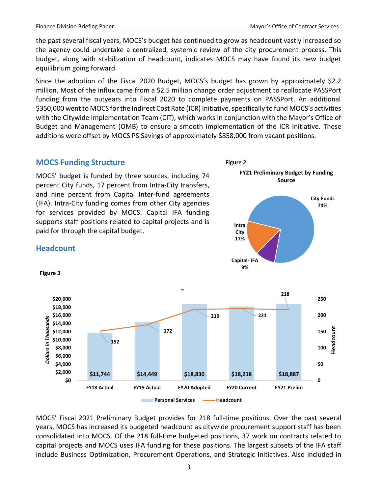the past several fiscal years, MOCS's budget has continued to grow as headcount vastly increased so the agency could undertake a centralized, systemic review of the city procurement process. This budget, along with stabilization of headcount, indicates MOCS may have found its new budget equilibrium going forward.

Since the adoption of the Fiscal 2020 Budget, MOCS's budget has grown by approximately \$2.2 million. Most of the influx came from a \$2.5 million change order adjustment to reallocate PASSPort funding from the outyears into Fiscal 2020 to complete payments on PASSPort. An additional \$350,000 went to MOCS for the Indirect Cost Rate (ICR) Initiative, specifically to fund MOCS's activities with the Citywide Implementation Team (CIT), which works in conjunction with the Mayor's Office of Budget and Management (OMB) to ensure a smooth implementation of the ICR Initiative. These additions were offset by MOCS PS Savings of approximately \$858,000 from vacant positions.

## <span id="page-4-0"></span>**MOCS Funding Structure**

MOCS' budget is funded by three sources, including 74 percent City funds, 17 percent from Intra-City transfers, and nine percent from Capital Inter-fund agreements (IFA). Intra-City funding comes from other City agencies for services provided by MOCS. Capital IFA funding supports staff positions related to capital projects and is paid for through the capital budget.



## <span id="page-4-1"></span>**Headcount**

**Figure 3**



MOCS' Fiscal 2021 Preliminary Budget provides for 218 full-time positions. Over the past several years, MOCS has increased its budgeted headcount as citywide procurement support staff has been consolidated into MOCS. Of the 218 full-time budgeted positions, 37 work on contracts related to capital projects and MOCS uses IFA funding for these positions. The largest subsets of the IFA staff include Business Optimization, Procurement Operations, and Strategic Initiatives. Also included in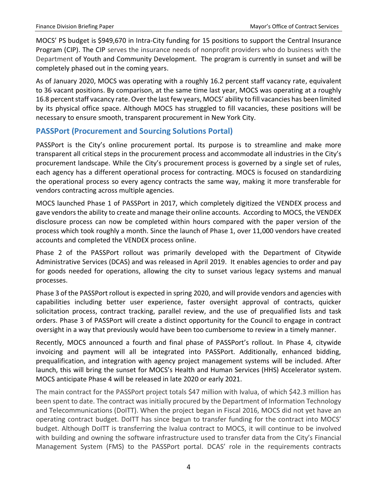MOCS' PS budget is \$949,670 in Intra-City funding for 15 positions to support the Central Insurance Program (CIP). The CIP serves the insurance needs of nonprofit providers who do business with the Department of Youth and Community Development. The program is currently in sunset and will be completely phased out in the coming years.

As of January 2020, MOCS was operating with a roughly 16.2 percent staff vacancy rate, equivalent to 36 vacant positions. By comparison, at the same time last year, MOCS was operating at a roughly 16.8 percent staff vacancy rate.Over the last few years, MOCS' ability to fill vacancies has been limited by its physical office space. Although MOCS has struggled to fill vacancies, these positions will be necessary to ensure smooth, transparent procurement in New York City.

## <span id="page-5-0"></span>**PASSPort (Procurement and Sourcing Solutions Portal)**

PASSPort is the City's online procurement portal. Its purpose is to streamline and make more transparent all critical steps in the procurement process and accommodate all industries in the City's procurement landscape. While the City's procurement process is governed by a single set of rules, each agency has a different operational process for contracting. MOCS is focused on standardizing the operational process so every agency contracts the same way, making it more transferable for vendors contracting across multiple agencies.

MOCS launched Phase 1 of PASSPort in 2017, which completely digitized the VENDEX process and gave vendors the ability to create and manage their online accounts. According to MOCS, the VENDEX disclosure process can now be completed within hours compared with the paper version of the process which took roughly a month. Since the launch of Phase 1, over 11,000 vendors have created accounts and completed the VENDEX process online.

Phase 2 of the PASSPort rollout was primarily developed with the Department of Citywide Administrative Services (DCAS) and was released in April 2019. It enables agencies to order and pay for goods needed for operations, allowing the city to sunset various legacy systems and manual processes.

Phase 3 of the PASSPort rollout is expected in spring 2020, and will provide vendors and agencies with capabilities including better user experience, faster oversight approval of contracts, quicker solicitation process, contract tracking, parallel review, and the use of prequalified lists and task orders. Phase 3 of PASSPort will create a distinct opportunity for the Council to engage in contract oversight in a way that previously would have been too cumbersome to review in a timely manner.

Recently, MOCS announced a fourth and final phase of PASSPort's rollout. In Phase 4, citywide invoicing and payment will all be integrated into PASSPort. Additionally, enhanced bidding, prequalification, and integration with agency project management systems will be included. After launch, this will bring the sunset for MOCS's Health and Human Services (HHS) Accelerator system. MOCS anticipate Phase 4 will be released in late 2020 or early 2021.

The main contract for the PASSPort project totals \$47 million with Ivalua, of which \$42.3 million has been spent to date. The contract was initially procured by the Department of Information Technology and Telecommunications (DoITT). When the project began in Fiscal 2016, MOCS did not yet have an operating contract budget. DoITT has since begun to transfer funding for the contract into MOCS' budget. Although DoITT is transferring the Ivalua contract to MOCS, it will continue to be involved with building and owning the software infrastructure used to transfer data from the City's Financial Management System (FMS) to the PASSPort portal. DCAS' role in the requirements contracts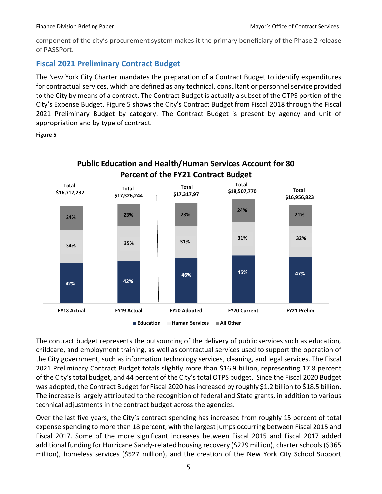component of the city's procurement system makes it the primary beneficiary of the Phase 2 release of PASSPort.

## <span id="page-6-0"></span>**Fiscal 2021 Preliminary Contract Budget**

The New York City Charter mandates the preparation of a Contract Budget to identify expenditures for contractual services, which are defined as any technical, consultant or personnel service provided to the City by means of a contract. The Contract Budget is actually a subset of the OTPS portion of the City's Expense Budget. Figure 5 shows the City's Contract Budget from Fiscal 2018 through the Fiscal 2021 Preliminary Budget by category. The Contract Budget is present by agency and unit of appropriation and by type of contract.

### **Figure 5**



The contract budget represents the outsourcing of the delivery of public services such as education, childcare, and employment training, as well as contractual services used to support the operation of the City government, such as information technology services, cleaning, and legal services. The Fiscal 2021 Preliminary Contract Budget totals slightly more than \$16.9 billion, representing 17.8 percent of the City's total budget, and 44 percent of the City's total OTPS budget. Since the Fiscal 2020 Budget was adopted, the Contract Budget for Fiscal 2020 has increased by roughly \$1.2 billion to \$18.5 billion. The increase is largely attributed to the recognition of federal and State grants, in addition to various technical adjustments in the contract budget across the agencies.

Over the last five years, the City's contract spending has increased from roughly 15 percent of total expense spending to more than 18 percent, with the largest jumps occurring between Fiscal 2015 and Fiscal 2017. Some of the more significant increases between Fiscal 2015 and Fiscal 2017 added additional funding for Hurricane Sandy-related housing recovery (\$229 million), charter schools (\$365 million), homeless services (\$527 million), and the creation of the New York City School Support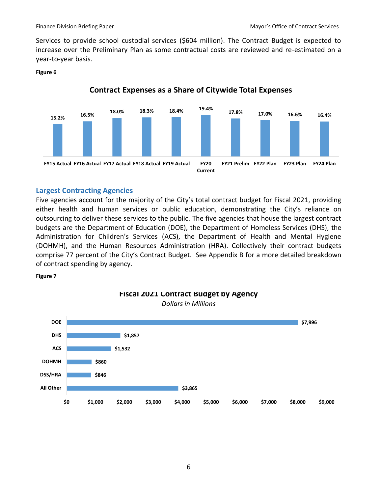Services to provide school custodial services (\$604 million). The Contract Budget is expected to increase over the Preliminary Plan as some contractual costs are reviewed and re-estimated on a year-to-year basis.

#### **Figure 6**



## **Contract Expenses as a Share of Citywide Total Expenses**

## <span id="page-7-0"></span>**Largest Contracting Agencies**

Five agencies account for the majority of the City's total contract budget for Fiscal 2021, providing either health and human services or public education, demonstrating the City's reliance on outsourcing to deliver these services to the public. The five agencies that house the largest contract budgets are the Department of Education (DOE), the Department of Homeless Services (DHS), the Administration for Children's Services (ACS), the Department of Health and Mental Hygiene (DOHMH), and the Human Resources Administration (HRA). Collectively their contract budgets comprise 77 percent of the City's Contract Budget. See Appendix B for a more detailed breakdown of contract spending by agency.

#### **Figure 7**



### **Fiscal 2021 Contract Budget by Agency** *Dollars in Millions*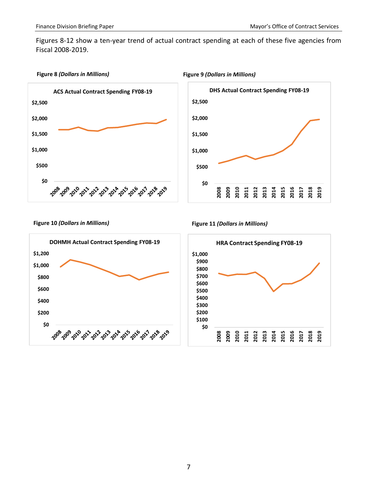Figures 8-12 show a ten-year trend of actual contract spending at each of these five agencies from Fiscal 2008-2019.

#### **Figure 8** *(Dollars in Millions)* **Figure 9** *(Dollars in Millions)*









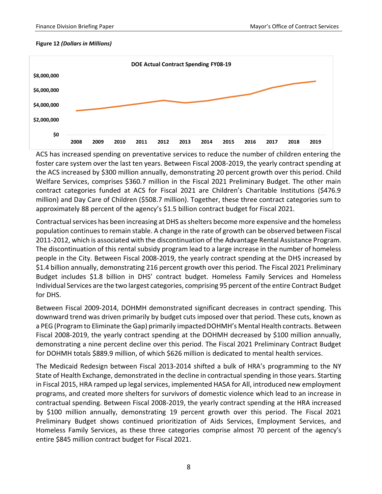#### **Figure 12** *(Dollars in Millions)*



ACS has increased spending on preventative services to reduce the number of children entering the foster care system over the last ten years. Between Fiscal 2008-2019, the yearly contract spending at the ACS increased by \$300 million annually, demonstrating 20 percent growth over this period. Child Welfare Services, comprises \$360.7 million in the Fiscal 2021 Preliminary Budget. The other main contract categories funded at ACS for Fiscal 2021 are Children's Charitable Institutions (\$476.9 million) and Day Care of Children (\$508.7 million). Together, these three contract categories sum to approximately 88 percent of the agency's \$1.5 billion contract budget for Fiscal 2021.

Contractual services has been increasing at DHS as shelters become more expensive and the homeless population continues to remain stable. A change in the rate of growth can be observed between Fiscal 2011-2012, which is associated with the discontinuation of the Advantage Rental Assistance Program. The discontinuation of this rental subsidy program lead to a large increase in the number of homeless people in the City. Between Fiscal 2008-2019, the yearly contract spending at the DHS increased by \$1.4 billion annually, demonstrating 216 percent growth over this period. The Fiscal 2021 Preliminary Budget includes \$1.8 billion in DHS' contract budget. Homeless Family Services and Homeless Individual Services are the two largest categories, comprising 95 percent of the entire Contract Budget for DHS.

Between Fiscal 2009-2014, DOHMH demonstrated significant decreases in contract spending. This downward trend was driven primarily by budget cuts imposed over that period. These cuts, known as a PEG (Program to Eliminate the Gap) primarily impactedDOHMH's Mental Health contracts. Between Fiscal 2008-2019, the yearly contract spending at the DOHMH decreased by \$100 million annually, demonstrating a nine percent decline over this period. The Fiscal 2021 Preliminary Contract Budget for DOHMH totals \$889.9 million, of which \$626 million is dedicated to mental health services.

The Medicaid Redesign between Fiscal 2013-2014 shifted a bulk of HRA's programming to the NY State of Health Exchange, demonstrated in the decline in contractual spending in those years. Starting in Fiscal 2015, HRA ramped up legal services, implemented HASA for All, introduced new employment programs, and created more shelters for survivors of domestic violence which lead to an increase in contractual spending. Between Fiscal 2008-2019, the yearly contract spending at the HRA increased by \$100 million annually, demonstrating 19 percent growth over this period. The Fiscal 2021 Preliminary Budget shows continued prioritization of Aids Services, Employment Services, and Homeless Family Services, as these three categories comprise almost 70 percent of the agency's entire \$845 million contract budget for Fiscal 2021.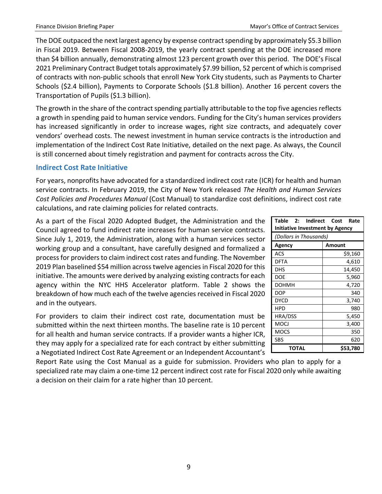The DOE outpaced the next largest agency by expense contract spending by approximately \$5.3 billion in Fiscal 2019. Between Fiscal 2008-2019, the yearly contract spending at the DOE increased more than \$4 billion annually, demonstrating almost 123 percent growth over this period. The DOE's Fiscal 2021 Preliminary Contract Budget totals approximately \$7.99 billion, 52 percent of which is comprised of contracts with non-public schools that enroll New York City students, such as Payments to Charter Schools (\$2.4 billion), Payments to Corporate Schools (\$1.8 billion). Another 16 percent covers the Transportation of Pupils (\$1.3 billion).

The growth in the share of the contract spending partially attributable to the top five agencies reflects a growth in spending paid to human service vendors. Funding for the City's human services providers has increased significantly in order to increase wages, right size contracts, and adequately cover vendors' overhead costs. The newest investment in human service contracts is the introduction and implementation of the Indirect Cost Rate Initiative, detailed on the next page. As always, the Council is still concerned about timely registration and payment for contracts across the City.

## <span id="page-10-0"></span>**Indirect Cost Rate Initiative**

For years, nonprofits have advocated for a standardized indirect cost rate (ICR) for health and human service contracts. In February 2019, the City of New York released *The Health and Human Services Cost Policies and Procedures Manual* (Cost Manual) to standardize cost definitions, indirect cost rate calculations, and rate claiming policies for related contracts.

As a part of the Fiscal 2020 Adopted Budget, the Administration and the Council agreed to fund indirect rate increases for human service contracts. Since July 1, 2019, the Administration, along with a human services sector working group and a consultant, have carefully designed and formalized a process for providers to claim indirect cost rates and funding. The November 2019 Plan baselined \$54 million across twelve agencies in Fiscal 2020 for this initiative. The amounts were derived by analyzing existing contracts for each agency within the NYC HHS Accelerator platform. Table 2 shows the breakdown of how much each of the twelve agencies received in Fiscal 2020 and in the outyears.

For providers to claim their indirect cost rate, documentation must be submitted within the next thirteen months. The baseline rate is 10 percent for all health and human service contracts. If a provider wants a higher ICR, they may apply for a specialized rate for each contract by either submitting a Negotiated Indirect Cost Rate Agreement or an Independent Accountant's

Report Rate using the Cost Manual as a guide for submission. Providers who plan to apply for a specialized rate may claim a one-time 12 percent indirect cost rate for Fiscal 2020 only while awaiting a decision on their claim for a rate higher than 10 percent.

| Table<br>2: Indirect<br>Cost Rate<br>Initiative Investment by Agency |          |  |  |  |  |  |  |
|----------------------------------------------------------------------|----------|--|--|--|--|--|--|
| (Dollars in Thousands)                                               |          |  |  |  |  |  |  |
| Agency                                                               | Amount   |  |  |  |  |  |  |
| ACS                                                                  | \$9,160  |  |  |  |  |  |  |
| <b>DFTA</b>                                                          | 4,610    |  |  |  |  |  |  |
| <b>DHS</b>                                                           | 14,450   |  |  |  |  |  |  |
| <b>DOE</b>                                                           | 5,960    |  |  |  |  |  |  |
| <b>DOHMH</b>                                                         | 4,720    |  |  |  |  |  |  |
| <b>DOP</b>                                                           | 340      |  |  |  |  |  |  |
| <b>DYCD</b>                                                          | 3,740    |  |  |  |  |  |  |
| <b>HPD</b>                                                           | 980      |  |  |  |  |  |  |
| HRA/DSS                                                              | 5,450    |  |  |  |  |  |  |
| MOCJ                                                                 | 3,400    |  |  |  |  |  |  |
| <b>MOCS</b>                                                          | 350      |  |  |  |  |  |  |
| SBS                                                                  | 620      |  |  |  |  |  |  |
| <b>TOTAL</b>                                                         | \$53,780 |  |  |  |  |  |  |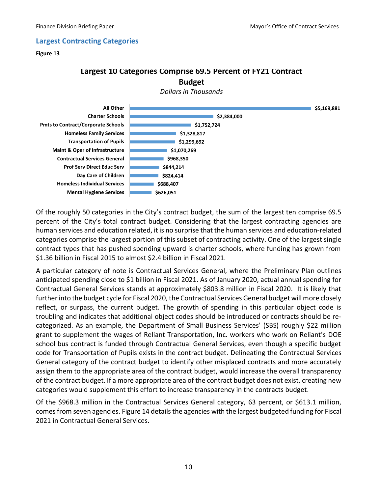#### <span id="page-11-0"></span>**Largest Contracting Categories**

#### **Figure 13**

## **Largest 10 Categories Comprise 69.5 Percent of FY21 Contract Budget**





Of the roughly 50 categories in the City's contract budget, the sum of the largest ten comprise 69.5 percent of the City's total contract budget. Considering that the largest contracting agencies are human services and education related, it is no surprise that the human services and education-related categories comprise the largest portion of this subset of contracting activity. One of the largest single contract types that has pushed spending upward is charter schools, where funding has grown from \$1.36 billion in Fiscal 2015 to almost \$2.4 billion in Fiscal 2021.

A particular category of note is Contractual Services General, where the Preliminary Plan outlines anticipated spending close to \$1 billion in Fiscal 2021. As of January 2020, actual annual spending for Contractual General Services stands at approximately \$803.8 million in Fiscal 2020. It is likely that further into the budget cycle for Fiscal 2020, the Contractual Services General budget will more closely reflect, or surpass, the current budget. The growth of spending in this particular object code is troubling and indicates that additional object codes should be introduced or contracts should be recategorized. As an example, the Department of Small Business Services' (SBS) roughly \$22 million grant to supplement the wages of Reliant Transportation, Inc. workers who work on Reliant's DOE school bus contract is funded through Contractual General Services, even though a specific budget code for Transportation of Pupils exists in the contract budget. Delineating the Contractual Services General category of the contract budget to identify other misplaced contracts and more accurately assign them to the appropriate area of the contract budget, would increase the overall transparency of the contract budget. If a more appropriate area of the contract budget does not exist, creating new categories would supplement this effort to increase transparency in the contracts budget.

Of the \$968.3 million in the Contractual Services General category, 63 percent, or \$613.1 million, comes from seven agencies. Figure 14 details the agencies with the largest budgeted funding for Fiscal 2021 in Contractual General Services.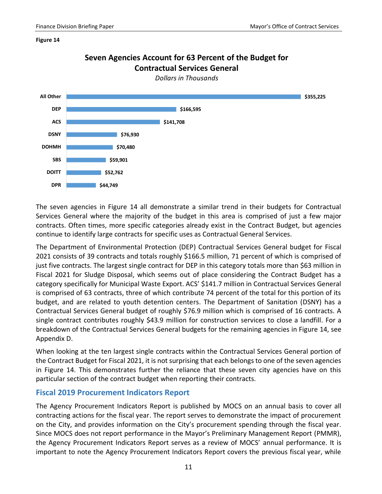#### **Figure 14**

**DPR DOITT**

**SBS**

**DOHMH**



The seven agencies in Figure 14 all demonstrate a similar trend in their budgets for Contractual Services General where the majority of the budget in this area is comprised of just a few major contracts. Often times, more specific categories already exist in the Contract Budget, but agencies continue to identify large contracts for specific uses as Contractual General Services.

The Department of Environmental Protection (DEP) Contractual Services General budget for Fiscal 2021 consists of 39 contracts and totals roughly \$166.5 million, 71 percent of which is comprised of just five contracts. The largest single contract for DEP in this category totals more than \$63 million in Fiscal 2021 for Sludge Disposal, which seems out of place considering the Contract Budget has a category specifically for Municipal Waste Export. ACS' \$141.7 million in Contractual Services General is comprised of 63 contracts, three of which contribute 74 percent of the total for this portion of its budget, and are related to youth detention centers. The Department of Sanitation (DSNY) has a Contractual Services General budget of roughly \$76.9 million which is comprised of 16 contracts. A single contract contributes roughly \$43.9 million for construction services to close a landfill. For a breakdown of the Contractual Services General budgets for the remaining agencies in Figure 14, see Appendix D.

When looking at the ten largest single contracts within the Contractual Services General portion of the Contract Budget for Fiscal 2021, it is not surprising that each belongs to one of the seven agencies in Figure 14. This demonstrates further the reliance that these seven city agencies have on this particular section of the contract budget when reporting their contracts.

### <span id="page-12-0"></span>**Fiscal 2019 Procurement Indicators Report**

**\$44,749**

**\$52,762**

**\$59,901**

**\$70,480**

The Agency Procurement Indicators Report is published by MOCS on an annual basis to cover all contracting actions for the fiscal year. The report serves to demonstrate the impact of procurement on the City, and provides information on the City's procurement spending through the fiscal year. Since MOCS does not report performance in the Mayor's Preliminary Management Report (PMMR), the Agency Procurement Indicators Report serves as a review of MOCS' annual performance. It is important to note the Agency Procurement Indicators Report covers the previous fiscal year, while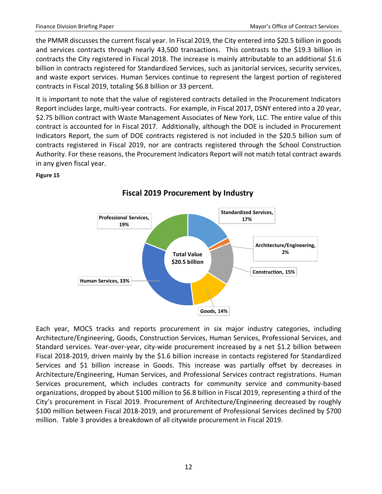the PMMR discusses the current fiscal year. In Fiscal 2019, the City entered into \$20.5 billion in goods and services contracts through nearly 43,500 transactions. This contrasts to the \$19.3 billion in contracts the City registered in Fiscal 2018. The increase is mainly attributable to an additional \$1.6 billion in contracts registered for Standardized Services, such as janitorial services, security services, and waste export services. Human Services continue to represent the largest portion of registered contracts in Fiscal 2019, totaling \$6.8 billion or 33 percent.

It is important to note that the value of registered contracts detailed in the Procurement Indicators Report includes large, multi-year contracts. For example, in Fiscal 2017, DSNY entered into a 20 year, \$2.75 billion contract with Waste Management Associates of New York, LLC. The entire value of this contract is accounted for in Fiscal 2017. Additionally, although the DOE is included in Procurement Indicators Report, the sum of DOE contracts registered is not included in the \$20.5 billion sum of contracts registered in Fiscal 2019, nor are contracts registered through the School Construction Authority. For these reasons, the Procurement Indicators Report will not match total contract awards in any given fiscal year.

#### **Figure 15**



# **Fiscal 2019 Procurement by Industry**

Each year, MOCS tracks and reports procurement in six major industry categories, including Architecture/Engineering, Goods, Construction Services, Human Services, Professional Services, and Standard services. Year-over-year, city-wide procurement increased by a net \$1.2 billion between Fiscal 2018-2019, driven mainly by the \$1.6 billion increase in contacts registered for Standardized Services and \$1 billion increase in Goods. This increase was partially offset by decreases in Architecture/Engineering, Human Services, and Professional Services contract registrations. Human Services procurement, which includes contracts for community service and community-based organizations, dropped by about \$100 million to \$6.8 billion in Fiscal 2019, representing a third of the City's procurement in Fiscal 2019. Procurement of Architecture/Engineering decreased by roughly \$100 million between Fiscal 2018-2019, and procurement of Professional Services declined by \$700 million. Table 3 provides a breakdown of all citywide procurement in Fiscal 2019.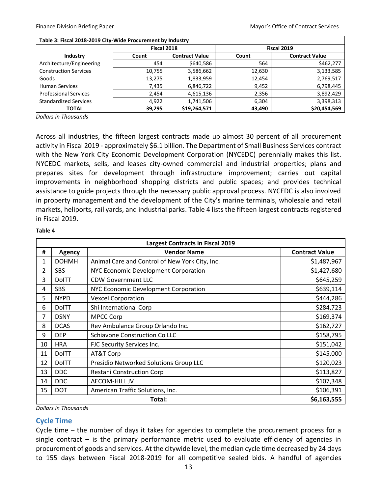| Table 3: Fiscal 2018-2019 City-Wide Procurement by Industry |                                |              |        |                       |  |  |  |
|-------------------------------------------------------------|--------------------------------|--------------|--------|-----------------------|--|--|--|
|                                                             | Fiscal 2018                    |              |        | Fiscal 2019           |  |  |  |
| Industry                                                    | <b>Contract Value</b><br>Count |              | Count  | <b>Contract Value</b> |  |  |  |
| Architecture/Engineering                                    | 454                            | \$640,586    | 564    | \$462,277             |  |  |  |
| <b>Construction Services</b>                                | 10,755                         | 3,586,662    | 12,630 | 3,133,585             |  |  |  |
| Goods                                                       | 13,275                         | 1,833,959    | 12,454 | 2,769,517             |  |  |  |
| <b>Human Services</b>                                       | 7,435                          | 6,846,722    | 9,452  | 6,798,445             |  |  |  |
| <b>Professional Services</b>                                | 2,454                          | 4,615,136    | 2,356  | 3,892,429             |  |  |  |
| <b>Standardized Services</b>                                | 4,922                          | 1,741,506    | 6,304  | 3,398,313             |  |  |  |
| TOTAL                                                       | 39,295                         | \$19,264,571 | 43,490 | \$20,454,569          |  |  |  |

*Dollars in Thousands*

Across all industries, the fifteen largest contracts made up almost 30 percent of all procurement activity in Fiscal 2019 - approximately \$6.1 billion. The Department of Small Business Services contract with the New York City Economic Development Corporation (NYCEDC) perennially makes this list. NYCEDC markets, sells, and leases city-owned commercial and industrial properties; plans and prepares sites for development through infrastructure improvement; carries out capital improvements in neighborhood shopping districts and public spaces; and provides technical assistance to guide projects through the necessary public approval process. NYCEDC is also involved in property management and the development of the City's marine terminals, wholesale and retail markets, heliports, rail yards, and industrial parks. Table 4 lists the fifteen largest contracts registered in Fiscal 2019.

#### **Table 4**

|    | <b>Largest Contracts in Fiscal 2019</b> |                                                |                       |  |  |  |  |
|----|-----------------------------------------|------------------------------------------------|-----------------------|--|--|--|--|
| #  | <b>Agency</b>                           | <b>Vendor Name</b>                             | <b>Contract Value</b> |  |  |  |  |
| 1  | <b>DOHMH</b>                            | Animal Care and Control of New York City, Inc. | \$1,487,967           |  |  |  |  |
| 2  | <b>SBS</b>                              | NYC Economic Development Corporation           | \$1,427,680           |  |  |  |  |
| 3  | <b>DoITT</b>                            | <b>CDW Government LLC</b>                      | \$645,259             |  |  |  |  |
| 4  | <b>SBS</b>                              | NYC Economic Development Corporation           | \$639,114             |  |  |  |  |
| 5  | <b>NYPD</b>                             | <b>Vexcel Corporation</b>                      | \$444,286             |  |  |  |  |
| 6  | <b>DoITT</b>                            | Shi International Corp                         | \$284,723             |  |  |  |  |
| 7  | <b>DSNY</b>                             | <b>MPCC Corp</b>                               | \$169,374             |  |  |  |  |
| 8  | <b>DCAS</b>                             | Rev Ambulance Group Orlando Inc.               | \$162,727             |  |  |  |  |
| 9  | <b>DEP</b>                              | <b>Schiavone Construction Co LLC</b>           | \$158,795             |  |  |  |  |
| 10 | <b>HRA</b>                              | FJC Security Services Inc.                     | \$151,042             |  |  |  |  |
| 11 | <b>DoITT</b>                            | AT&T Corp                                      | \$145,000             |  |  |  |  |
| 12 | <b>DoITT</b>                            | Presidio Networked Solutions Group LLC         | \$120,023             |  |  |  |  |
| 13 | <b>DDC</b>                              | <b>Restani Construction Corp</b>               | \$113,827             |  |  |  |  |
| 14 | <b>DDC</b>                              | AECOM-HILL JV                                  | \$107,348             |  |  |  |  |
| 15 | <b>DOT</b>                              | American Traffic Solutions, Inc.               | \$106,391             |  |  |  |  |
|    | \$6,163,555<br>Total:                   |                                                |                       |  |  |  |  |

*Dollars in Thousands*

#### <span id="page-14-0"></span>**Cycle Time**

Cycle time – the number of days it takes for agencies to complete the procurement process for a single contract  $-$  is the primary performance metric used to evaluate efficiency of agencies in procurement of goods and services. At the citywide level, the median cycle time decreased by 24 days to 155 days between Fiscal 2018-2019 for all competitive sealed bids. A handful of agencies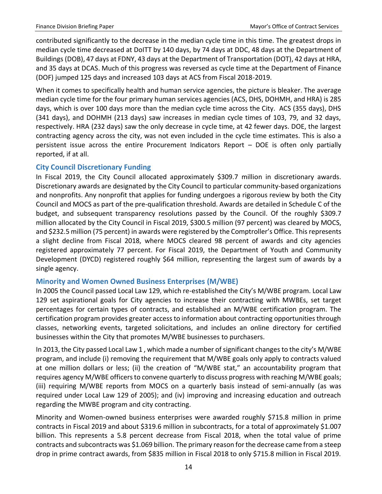contributed significantly to the decrease in the median cycle time in this time. The greatest drops in median cycle time decreased at DoITT by 140 days, by 74 days at DDC, 48 days at the Department of Buildings (DOB), 47 days at FDNY, 43 days at the Department of Transportation (DOT), 42 days at HRA, and 35 days at DCAS. Much of this progress was reversed as cycle time at the Department of Finance (DOF) jumped 125 days and increased 103 days at ACS from Fiscal 2018-2019.

When it comes to specifically health and human service agencies, the picture is bleaker. The average median cycle time for the four primary human services agencies (ACS, DHS, DOHMH, and HRA) is 285 days, which is over 100 days more than the median cycle time across the City. ACS (355 days), DHS (341 days), and DOHMH (213 days) saw increases in median cycle times of 103, 79, and 32 days, respectively. HRA (232 days) saw the only decrease in cycle time, at 42 fewer days. DOE, the largest contracting agency across the city, was not even included in the cycle time estimates. This is also a persistent issue across the entire Procurement Indicators Report – DOE is often only partially reported, if at all.

## <span id="page-15-0"></span>**City Council Discretionary Funding**

In Fiscal 2019, the City Council allocated approximately \$309.7 million in discretionary awards. Discretionary awards are designated by the City Council to particular community-based organizations and nonprofits. Any nonprofit that applies for funding undergoes a rigorous review by both the City Council and MOCS as part of the pre-qualification threshold. Awards are detailed in Schedule C of the budget, and subsequent transparency resolutions passed by the Council. Of the roughly \$309.7 million allocated by the City Council in Fiscal 2019, \$300.5 million (97 percent) was cleared by MOCS, and \$232.5 million (75 percent) in awards were registered by the Comptroller's Office. This represents a slight decline from Fiscal 2018, where MOCS cleared 98 percent of awards and city agencies registered approximately 77 percent. For Fiscal 2019, the Department of Youth and Community Development (DYCD) registered roughly \$64 million, representing the largest sum of awards by a single agency.

## <span id="page-15-1"></span>**Minority and Women Owned Business Enterprises (M/WBE)**

In 2005 the Council passed Local Law 129, which re-established the City's M/WBE program. Local Law 129 set aspirational goals for City agencies to increase their contracting with MWBEs, set target percentages for certain types of contracts, and established an M/WBE certification program. The certification program provides greater access to information about contracting opportunities through classes, networking events, targeted solicitations, and includes an online directory for certified businesses within the City that promotes M/WBE businesses to purchasers.

In 2013, the City passed Local Law 1 , which made a number of significant changes to the city's M/WBE program, and include (i) removing the requirement that M/WBE goals only apply to contracts valued at one million dollars or less; (ii) the creation of "M/WBE stat," an accountability program that requires agency M/WBE officers to convene quarterly to discuss progress with reaching M/WBE goals; (iii) requiring M/WBE reports from MOCS on a quarterly basis instead of semi-annually (as was required under Local Law 129 of 2005); and (iv) improving and increasing education and outreach regarding the MWBE program and city contracting.

Minority and Women-owned business enterprises were awarded roughly \$715.8 million in prime contracts in Fiscal 2019 and about \$319.6 million in subcontracts, for a total of approximately \$1.007 billion. This represents a 5.8 percent decrease from Fiscal 2018, when the total value of prime contracts and subcontracts was \$1.069 billion. The primary reason for the decrease came from a steep drop in prime contract awards, from \$835 million in Fiscal 2018 to only \$715.8 million in Fiscal 2019.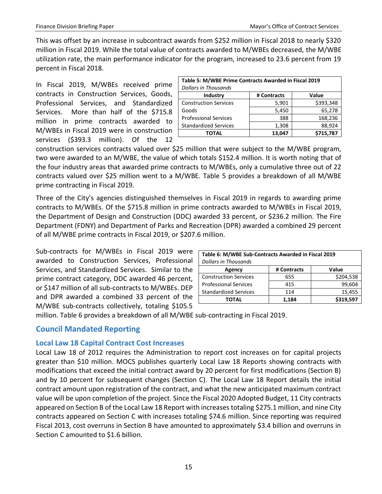This was offset by an increase in subcontract awards from \$252 million in Fiscal 2018 to nearly \$320 million in Fiscal 2019. While the total value of contracts awarded to M/WBEs decreased, the M/WBE utilization rate, the main performance indicator for the program, increased to 23.6 percent from 19 percent in Fiscal 2018.

In Fiscal 2019, M/WBEs received prime contracts in Construction Services, Goods, Professional Services, and Standardized Services. More than half of the \$715.8 million in prime contracts awarded to M/WBEs in Fiscal 2019 were in construction services (\$393.3 million). Of the 12

| Table 5: M/WBE Prime Contracts Awarded in Fiscal 2019 |             |           |  |  |  |  |  |
|-------------------------------------------------------|-------------|-----------|--|--|--|--|--|
| <b>Dollars in Thousands</b>                           |             |           |  |  |  |  |  |
| Industry                                              | # Contracts | Value     |  |  |  |  |  |
| <b>Construction Services</b>                          | 5,901       | \$393,348 |  |  |  |  |  |
| Goods                                                 | 5,450       | 65,278    |  |  |  |  |  |
| <b>Professional Services</b>                          | 388         | 168,236   |  |  |  |  |  |
| <b>Standardized Services</b>                          | 1,308       | 88,924    |  |  |  |  |  |
| TOTAL                                                 | 13.047      | \$715,787 |  |  |  |  |  |

construction services contracts valued over \$25 million that were subject to the M/WBE program, two were awarded to an M/WBE, the value of which totals \$152.4 million. It is worth noting that of the four industry areas that awarded prime contracts to M/WBEs, only a cumulative three out of 22 contracts valued over \$25 million went to a M/WBE. Table 5 provides a breakdown of all M/WBE prime contracting in Fiscal 2019.

Three of the City's agencies distinguished themselves in Fiscal 2019 in regards to awarding prime contracts to M/WBEs. Of the \$715.8 million in prime contracts awarded to M/WBEs in Fiscal 2019, the Department of Design and Construction (DDC) awarded 33 percent, or \$236.2 million. The Fire Department (FDNY) and Department of Parks and Recreation (DPR) awarded a combined 29 percent of all M/WBE prime contracts in Fiscal 2019, or \$207.6 million.

Sub-contracts for M/WBEs in Fiscal 2019 were awarded to Construction Services, Professional Services, and Standardized Services. Similar to the prime contract category, DDC awarded 46 percent, or \$147 million of all sub-contracts to M/WBEs. DEP and DPR awarded a combined 33 percent of the M/WBE sub-contracts collectively, totaling \$105.5

| Table 6: M/WBE Sub-Contracts Awarded in Fiscal 2019 |       |           |  |  |  |  |
|-----------------------------------------------------|-------|-----------|--|--|--|--|
| <b>Dollars in Thousands</b>                         |       |           |  |  |  |  |
| Value<br># Contracts<br>Agency                      |       |           |  |  |  |  |
| <b>Construction Services</b>                        | 655   | \$204,538 |  |  |  |  |
| <b>Professional Services</b>                        | 415   | 99,604    |  |  |  |  |
| <b>Standardized Services</b>                        | 114   | 15,455    |  |  |  |  |
| ΤΟΤΑL                                               | 1,184 | \$319,597 |  |  |  |  |

million. Table 6 provides a breakdown of all M/WBE sub-contracting in Fiscal 2019.

## <span id="page-16-0"></span>**Council Mandated Reporting**

## <span id="page-16-1"></span>**Local Law 18 Capital Contract Cost Increases**

Local Law 18 of 2012 requires the Administration to report cost increases on for capital projects greater than \$10 million. MOCS publishes quarterly Local Law 18 Reports showing contracts with modifications that exceed the initial contract award by 20 percent for first modifications (Section B) and by 10 percent for subsequent changes (Section C). The Local Law 18 Report details the initial contract amount upon registration of the contract, and what the new anticipated maximum contract value will be upon completion of the project. Since the Fiscal 2020 Adopted Budget, 11 City contracts appeared on Section B of the Local Law 18 Report with increases totaling \$275.1 million, and nine City contracts appeared on Section C with increases totaling \$74.6 million. Since reporting was required Fiscal 2013, cost overruns in Section B have amounted to approximately \$3.4 billion and overruns in Section C amounted to \$1.6 billion.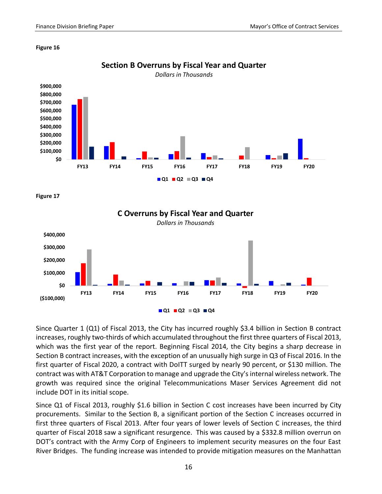

**Section B Overruns by Fiscal Year and Quarter**

#### **Figure 16**





Since Quarter 1 (Q1) of Fiscal 2013, the City has incurred roughly \$3.4 billion in Section B contract increases, roughly two-thirds of which accumulated throughout the first three quarters of Fiscal 2013, which was the first year of the report. Beginning Fiscal 2014, the City begins a sharp decrease in Section B contract increases, with the exception of an unusually high surge in Q3 of Fiscal 2016. In the first quarter of Fiscal 2020, a contract with DoITT surged by nearly 90 percent, or \$130 million. The contract was with AT&T Corporation to manage and upgrade the City's internal wireless network. The growth was required since the original Telecommunications Maser Services Agreement did not include DOT in its initial scope.

Since Q1 of Fiscal 2013, roughly \$1.6 billion in Section C cost increases have been incurred by City procurements. Similar to the Section B, a significant portion of the Section C increases occurred in first three quarters of Fiscal 2013. After four years of lower levels of Section C increases, the third quarter of Fiscal 2018 saw a significant resurgence. This was caused by a \$332.8 million overrun on DOT's contract with the Army Corp of Engineers to implement security measures on the four East River Bridges. The funding increase was intended to provide mitigation measures on the Manhattan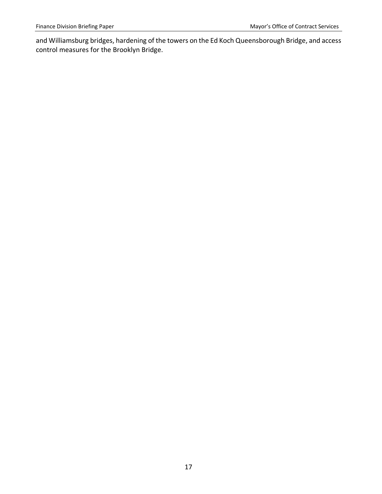and Williamsburg bridges, hardening of the towers on the Ed Koch Queensborough Bridge, and access control measures for the Brooklyn Bridge.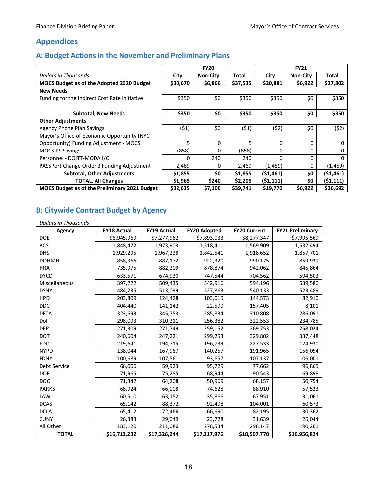# <span id="page-19-0"></span>**Appendices**

## <span id="page-19-1"></span>**A: Budget Actions in the November and Preliminary Plans**

|                                                      | <b>FY20</b> |                 |          | <b>FY21</b> |                 |           |
|------------------------------------------------------|-------------|-----------------|----------|-------------|-----------------|-----------|
| Dollars in Thousands                                 | City        | <b>Non-City</b> | Total    | City        | <b>Non-City</b> | Total     |
| MOCS Budget as of the Adopted 2020 Budget            | \$30,670    | \$6,866         | \$37,535 | \$20,881    | \$6,922         | \$27,802  |
| <b>New Needs</b>                                     |             |                 |          |             |                 |           |
| Funding for the Indirect Cost Rate Initiative        | \$350       | \$0             | \$350    | \$350       | \$0             | \$350     |
|                                                      |             |                 |          |             |                 |           |
| Subtotal, New Needs                                  | \$350       | \$0             | \$350    | \$350       | \$0             | \$350     |
| <b>Other Adjustments</b>                             |             |                 |          |             |                 |           |
| <b>Agency Phone Plan Savings</b>                     | (51)        | \$0             | (\$1)    | (\$2)       | \$0             | (\$2)     |
| Mayor's Office of Economic Opportunity (NYC          |             |                 |          |             |                 |           |
| Opportunity) Funding Adjustment - MOCS               | 5           | 0               | 5        | 0           | 0               | 0         |
| <b>MOCS PS Savings</b>                               | (858)       | 0               | (858)    | 0           | 0               | 0         |
| Personnel - DOITT-MODA I/C                           | 0           | 240             | 240      | O           | 0               | $\Omega$  |
| PASSPort Change Order 3 Funding Adjustment           | 2,469       | 0               | 2,469    | (1,459)     | 0               | (1, 459)  |
| <b>Subtotal, Other Adjustments</b>                   | \$1,855     | \$0             | \$1,855  | (51, 461)   | \$0             | (51, 461) |
| <b>TOTAL, All Changes</b>                            | \$1,965     | \$240           | \$2,205  | (51, 111)   | \$0             | (51, 111) |
| <b>MOCS Budget as of the Preliminary 2021 Budget</b> | \$32,635    | \$7,106         | \$39,741 | \$19,770    | \$6,922         | \$26,692  |

# <span id="page-19-2"></span>**B: Citywide Contract Budget by Agency**

| <b>Dollars in Thousands</b> |                    |                    |                     |                     |                         |  |
|-----------------------------|--------------------|--------------------|---------------------|---------------------|-------------------------|--|
| Agency                      | <b>FY18 Actual</b> | <b>FY19 Actual</b> | <b>FY20 Adopted</b> | <b>FY20 Current</b> | <b>FY21 Preliminary</b> |  |
| <b>DOE</b>                  | \$6,945,969        | \$7,277,962        | \$7,893,033         | \$8,277,347         | \$7,995,569             |  |
| <b>ACS</b>                  | 1,848,472          | 1,973,903          | 1,518,411           | 1,569,909           | 1,532,494               |  |
| <b>DHS</b>                  | 1,929,295          | 1,967,238          | 1,842,541           | 1,918,652           | 1,857,701               |  |
| <b>DOHMH</b>                | 858,366            | 887,172            | 922,320             | 990,175             | 859,939                 |  |
| <b>HRA</b>                  | 735,975            | 882,209            | 878,874             | 942,062             | 845,864                 |  |
| <b>DYCD</b>                 | 633,571            | 674,930            | 747,544             | 704,562             | 594,503                 |  |
| Miscellaneous               | 397,222            | 509,435            | 542,916             | 594,196             | 539,580                 |  |
| <b>DSNY</b>                 | 484,235            | 513,099            | 527,863             | 540,133             | 523,489                 |  |
| <b>HPD</b>                  | 203,809            | 124,428            | 103,015             | 144,573             | 82,910                  |  |
| <b>DDC</b>                  | 404,440            | 141,142            | 22,599              | 157,405             | 8,101                   |  |
| <b>DFTA</b>                 | 323,693            | 345,753            | 285,834             | 310,808             | 286,091                 |  |
| <b>DoITT</b>                | 298,093            | 310,211            | 256,382             | 322,553             | 234,785                 |  |
| <b>DEP</b>                  | 271,309            | 271,749            | 259,152             | 269,753             | 258,024                 |  |
| <b>DOT</b>                  | 240,604            | 247,221            | 299,253             | 329,802             | 337,448                 |  |
| <b>EDC</b>                  | 219,641            | 194,715            | 196,739             | 227,533             | 124,930                 |  |
| <b>NYPD</b>                 | 138,044            | 167,967            | 140,257             | 191,965             | 156,054                 |  |
| <b>FDNY</b>                 | 100,689            | 107,561            | 93,657              | 107,137             | 106,001                 |  |
| Debt Service                | 66,006             | 59,923             | 95,729              | 77,662              | 96,865                  |  |
| <b>DOF</b>                  | 71,965             | 75,285             | 68,944              | 90,543              | 69,898                  |  |
| <b>DOC</b>                  | 71,342             | 64,208             | 50,969              | 68,157              | 50,754                  |  |
| <b>PARKS</b>                | 68,924             | 66,008             | 74,628              | 88,910              | 57,523                  |  |
| LAW                         | 60,510             | 63,152             | 35,866              | 67,951              | 31,061                  |  |
| <b>DCAS</b>                 | 65,142             | 88,372             | 92,498              | 104,001             | 60,573                  |  |
| <b>DCLA</b>                 | 65,412             | 72,466             | 66,690              | 82,195              | 30,362                  |  |
| <b>CUNY</b>                 | 26,383             | 29,049             | 23,728              | 31,639              | 26,044                  |  |
| All Other                   | 183,120            | 211,086            | 278,534             | 298,147             | 190,261                 |  |
| <b>TOTAL</b>                | \$16,712,232       | \$17,326,244       | \$17,317,976        | \$18,507,770        | \$16,956,824            |  |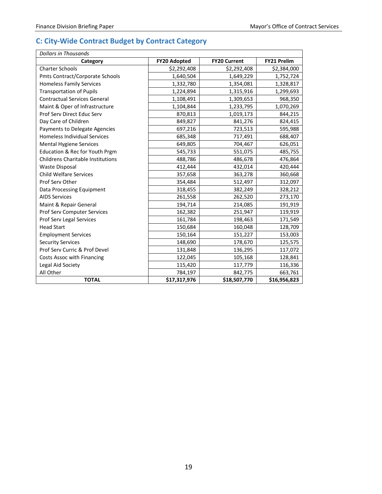# <span id="page-20-0"></span>**C: City-Wide Contract Budget by Contract Category**

| Dollars in Thousands                     |                     |                     |                    |
|------------------------------------------|---------------------|---------------------|--------------------|
| Category                                 | <b>FY20 Adopted</b> | <b>FY20 Current</b> | <b>FY21 Prelim</b> |
| <b>Charter Schools</b>                   | \$2,292,408         | \$2,292,408         | \$2,384,000        |
| Pmts Contract/Corporate Schools          | 1,640,504           | 1,649,229           | 1,752,724          |
| <b>Homeless Family Services</b>          | 1,332,780           | 1,354,081           | 1,328,817          |
| <b>Transportation of Pupils</b>          | 1,224,894           | 1,315,916           | 1,299,693          |
| <b>Contractual Services General</b>      | 1,108,491           | 1,309,653           | 968,350            |
| Maint & Oper of Infrastructure           | 1,104,844           | 1,233,795           | 1,070,269          |
| Prof Serv Direct Educ Serv               | 870,813             | 1,019,173           | 844,215            |
| Day Care of Children                     | 849,827             | 841,276             | 824,415            |
| Payments to Delegate Agencies            | 697,216             | 723,513             | 595,988            |
| <b>Homeless Individual Services</b>      | 685,348             | 717,491             | 688,407            |
| <b>Mental Hygiene Services</b>           | 649,805             | 704,467             | 626,051            |
| Education & Rec for Youth Prgm           | 545,733             | 551,075             | 485,755            |
| <b>Childrens Charitable Institutions</b> | 488,786             | 486,678             | 476,864            |
| <b>Waste Disposal</b>                    | 412,444             | 432,014             | 420,444            |
| <b>Child Welfare Services</b>            | 357,658             | 363,278             | 360,668            |
| Prof Serv Other                          | 354,484             | 512,497             | 312,097            |
| Data Processing Equipment                | 318,455             | 382,249             | 328,212            |
| <b>AIDS Services</b>                     | 261,558             | 262,520             | 273,170            |
| Maint & Repair General                   | 194,714             | 214,085             | 191,919            |
| Prof Serv Computer Services              | 162,382             | 251,947             | 119,919            |
| Prof Serv Legal Services                 | 161,784             | 198,463             | 171,549            |
| <b>Head Start</b>                        | 150,684             | 160,048             | 128,709            |
| <b>Employment Services</b>               | 150,164             | 151,227             | 153,003            |
| <b>Security Services</b>                 | 148,690             | 178,670             | 125,575            |
| Prof Serv Curric & Prof Devel            | 131,848             | 136,295             | 117,072            |
| Costs Assoc with Financing               | 122,045             | 105,168             | 128,841            |
| Legal Aid Society                        | 115,420             | 117,779             | 116,336            |
| All Other                                | 784,197             | 842,775             | 663,761            |
| <b>TOTAL</b>                             | \$17,317,976        | \$18,507,770        | \$16,956,823       |